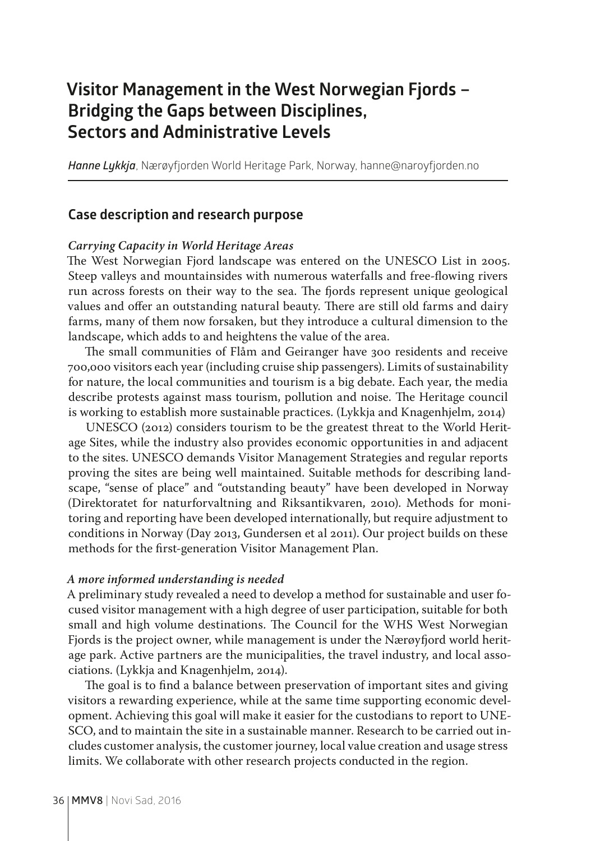# **Visitor Management in the West Norwegian Fjords – Bridging the Gaps between Disciplines, Sectors and Administrative Levels**

*Hanne Lykkja*, Nærøyfjorden World Heritage Park, Norway, hanne@naroyfjorden.no

# **Case description and research purpose**

#### *Carrying Capacity in World Heritage Areas*

The West Norwegian Fjord landscape was entered on the UNESCO List in 2005. Steep valleys and mountainsides with numerous waterfalls and free-flowing rivers run across forests on their way to the sea. The fjords represent unique geological values and offer an outstanding natural beauty. There are still old farms and dairy farms, many of them now forsaken, but they introduce a cultural dimension to the landscape, which adds to and heightens the value of the area.

The small communities of Flåm and Geiranger have 300 residents and receive 700,000 visitors each year (including cruise ship passengers). Limits of sustainability for nature, the local communities and tourism is a big debate. Each year, the media describe protests against mass tourism, pollution and noise. The Heritage council is working to establish more sustainable practices. (Lykkja and Knagenhjelm, 2014)

UNESCO (2012) considers tourism to be the greatest threat to the World Heritage Sites, while the industry also provides economic opportunities in and adjacent to the sites. UNESCO demands Visitor Management Strategies and regular reports proving the sites are being well maintained. Suitable methods for describing landscape, "sense of place" and "outstanding beauty" have been developed in Norway (Direktoratet for naturforvaltning and Riksantikvaren, 2010). Methods for monitoring and reporting have been developed internationally, but require adjustment to conditions in Norway (Day 2013, Gundersen et al 2011). Our project builds on these methods for the first-generation Visitor Management Plan.

#### *A more informed understanding is needed*

A preliminary study revealed a need to develop a method for sustainable and user focused visitor management with a high degree of user participation, suitable for both small and high volume destinations. The Council for the WHS West Norwegian Fjords is the project owner, while management is under the Nærøyfjord world heritage park. Active partners are the municipalities, the travel industry, and local associations. (Lykkja and Knagenhjelm, 2014).

The goal is to find a balance between preservation of important sites and giving visitors a rewarding experience, while at the same time supporting economic development. Achieving this goal will make it easier for the custodians to report to UNE-SCO, and to maintain the site in a sustainable manner. Research to be carried out includes customer analysis, the customer journey, local value creation and usage stress limits. We collaborate with other research projects conducted in the region.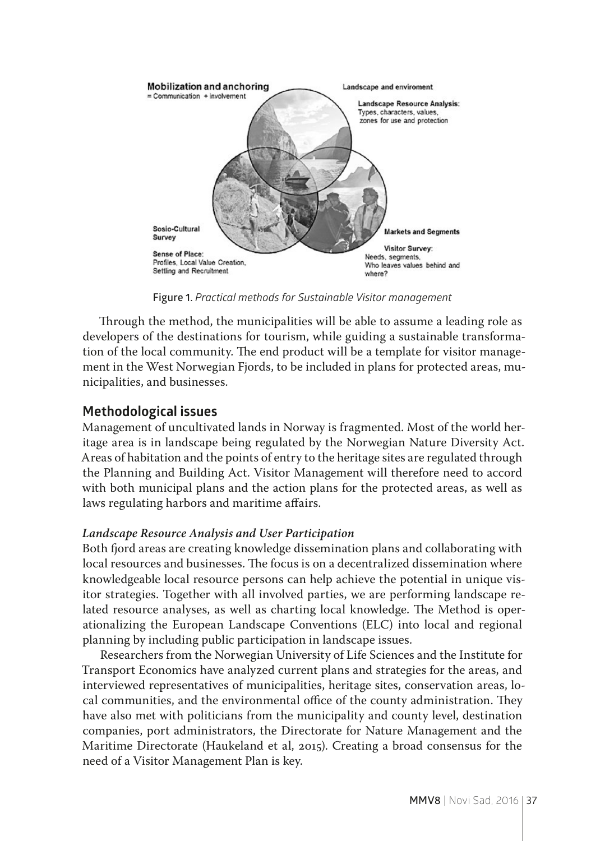

**Figure 1.** *Practical methods for Sustainable Visitor management*

Through the method, the municipalities will be able to assume a leading role as developers of the destinations for tourism, while guiding a sustainable transformation of the local community. The end product will be a template for visitor management in the West Norwegian Fjords, to be included in plans for protected areas, municipalities, and businesses.

# **Methodological issues**

Management of uncultivated lands in Norway is fragmented. Most of the world heritage area is in landscape being regulated by the Norwegian Nature Diversity Act. Areas of habitation and the points of entry to the heritage sites are regulated through the Planning and Building Act. Visitor Management will therefore need to accord with both municipal plans and the action plans for the protected areas, as well as laws regulating harbors and maritime affairs.

# *Landscape Resource Analysis and User Participation*

Both fjord areas are creating knowledge dissemination plans and collaborating with local resources and businesses. The focus is on a decentralized dissemination where knowledgeable local resource persons can help achieve the potential in unique visitor strategies. Together with all involved parties, we are performing landscape related resource analyses, as well as charting local knowledge. The Method is operationalizing the European Landscape Conventions (ELC) into local and regional planning by including public participation in landscape issues.

Researchers from the Norwegian University of Life Sciences and the Institute for Transport Economics have analyzed current plans and strategies for the areas, and interviewed representatives of municipalities, heritage sites, conservation areas, local communities, and the environmental office of the county administration. They have also met with politicians from the municipality and county level, destination companies, port administrators, the Directorate for Nature Management and the Maritime Directorate (Haukeland et al, 2015). Creating a broad consensus for the need of a Visitor Management Plan is key.